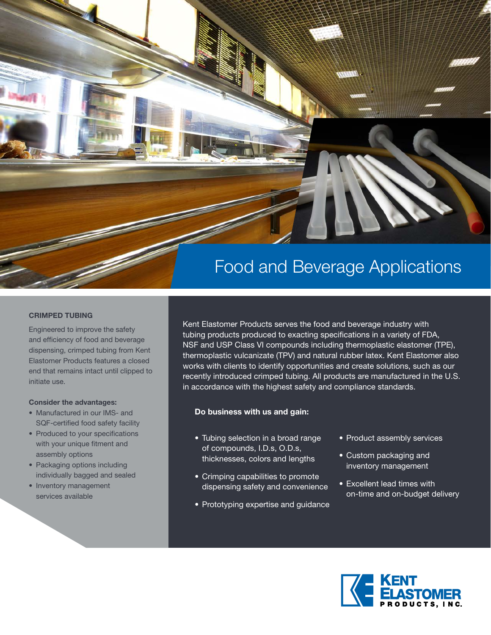

### **CRIMPED TUBING**

Engineered to improve the safety and efficiency of food and beverage dispensing, crimped tubing from Kent Elastomer Products features a closed end that remains intact until clipped to initiate use.

#### **Consider the advantages:**

- Manufactured in our IMS- and SQF-certified food safety facility
- Produced to your specifications with your unique fitment and assembly options
- Packaging options including individually bagged and sealed
- Inventory management services available

Kent Elastomer Products serves the food and beverage industry with tubing products produced to exacting specifications in a variety of FDA, NSF and USP Class VI compounds including thermoplastic elastomer (TPE), thermoplastic vulcanizate (TPV) and natural rubber latex. Kent Elastomer also works with clients to identify opportunities and create solutions, such as our recently introduced crimped tubing. All products are manufactured in the U.S. in accordance with the highest safety and compliance standards.

### **Do business with us and gain:**

- Tubing selection in a broad range of compounds, I.D.s, O.D.s, thicknesses, colors and lengths
- Crimping capabilities to promote dispensing safety and convenience
- Prototyping expertise and guidance
- Product assembly services
- Custom packaging and inventory management
- Excellent lead times with on-time and on-budget delivery